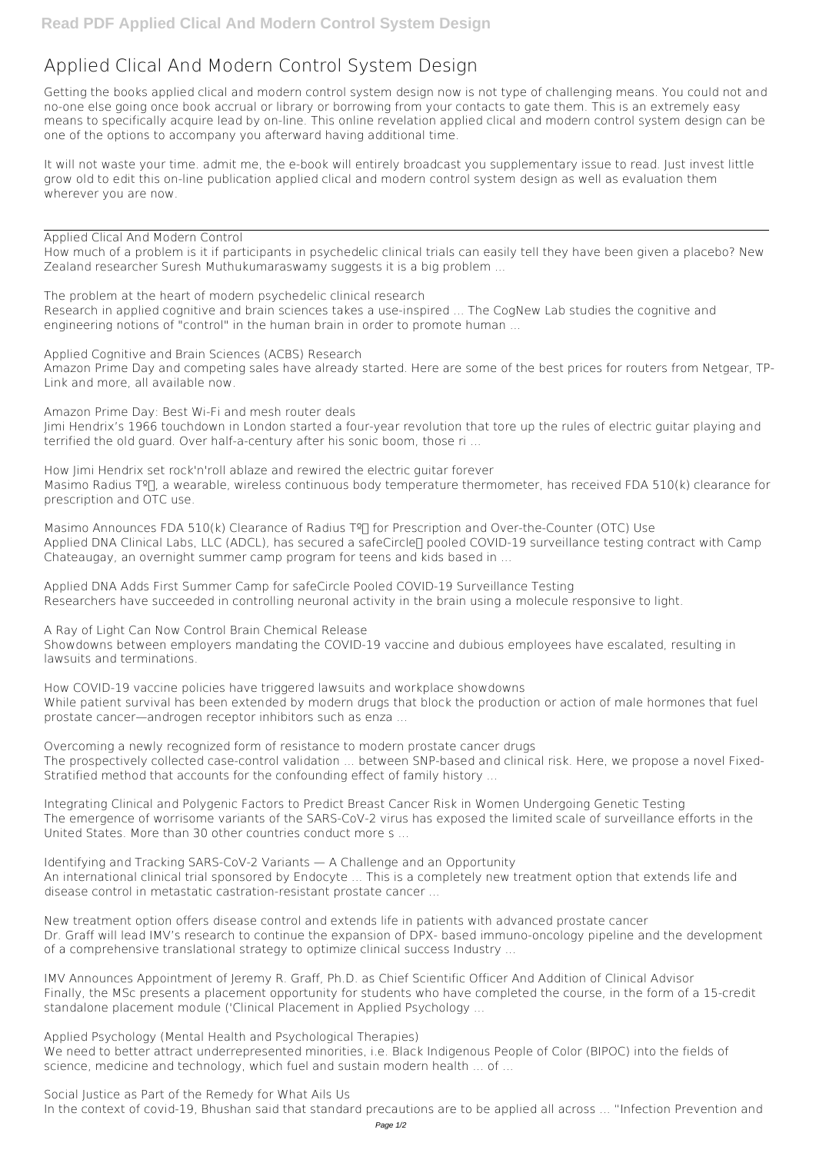## **Applied Clical And Modern Control System Design**

Getting the books **applied clical and modern control system design** now is not type of challenging means. You could not and no-one else going once book accrual or library or borrowing from your contacts to gate them. This is an extremely easy means to specifically acquire lead by on-line. This online revelation applied clical and modern control system design can be one of the options to accompany you afterward having additional time.

It will not waste your time. admit me, the e-book will entirely broadcast you supplementary issue to read. Just invest little grow old to edit this on-line publication **applied clical and modern control system design** as well as evaluation them wherever you are now.

*Applied Clical And Modern Control*

How much of a problem is it if participants in psychedelic clinical trials can easily tell they have been given a placebo? New Zealand researcher Suresh Muthukumaraswamy suggests it is a big problem ...

*Masimo Announces FDA 510(k) Clearance of Radius T<sup>o</sup>™ for Prescription and Over-the-Counter (OTC) Use* Applied DNA Clinical Labs, LLC (ADCL), has secured a safeCircle∏ pooled COVID-19 surveillance testing contract with Camp Chateaugay, an overnight summer camp program for teens and kids based in ...

*The problem at the heart of modern psychedelic clinical research* Research in applied cognitive and brain sciences takes a use-inspired ... The CogNew Lab studies the cognitive and engineering notions of "control" in the human brain in order to promote human ...

*Applied Cognitive and Brain Sciences (ACBS) Research*

Amazon Prime Day and competing sales have already started. Here are some of the best prices for routers from Netgear, TP-Link and more, all available now.

*Amazon Prime Day: Best Wi-Fi and mesh router deals* Jimi Hendrix's 1966 touchdown in London started a four-year revolution that tore up the rules of electric guitar playing and terrified the old guard. Over half-a-century after his sonic boom, those ri ...

*How Jimi Hendrix set rock'n'roll ablaze and rewired the electric guitar forever* Masimo Radius Tº∏, a wearable, wireless continuous body temperature thermometer, has received FDA 510(k) clearance for prescription and OTC use.

*Applied DNA Adds First Summer Camp for safeCircle Pooled COVID-19 Surveillance Testing* Researchers have succeeded in controlling neuronal activity in the brain using a molecule responsive to light.

*A Ray of Light Can Now Control Brain Chemical Release* Showdowns between employers mandating the COVID-19 vaccine and dubious employees have escalated, resulting in lawsuits and terminations.

*How COVID-19 vaccine policies have triggered lawsuits and workplace showdowns* While patient survival has been extended by modern drugs that block the production or action of male hormones that fuel prostate cancer—androgen receptor inhibitors such as enza ...

*Overcoming a newly recognized form of resistance to modern prostate cancer drugs* The prospectively collected case-control validation ... between SNP-based and clinical risk. Here, we propose a novel Fixed-Stratified method that accounts for the confounding effect of family history ...

*Integrating Clinical and Polygenic Factors to Predict Breast Cancer Risk in Women Undergoing Genetic Testing* The emergence of worrisome variants of the SARS-CoV-2 virus has exposed the limited scale of surveillance efforts in the United States. More than 30 other countries conduct more s ...

*Identifying and Tracking SARS-CoV-2 Variants — A Challenge and an Opportunity*

An international clinical trial sponsored by Endocyte ... This is a completely new treatment option that extends life and disease control in metastatic castration-resistant prostate cancer ...

*New treatment option offers disease control and extends life in patients with advanced prostate cancer* Dr. Graff will lead IMV's research to continue the expansion of DPX- based immuno-oncology pipeline and the development of a comprehensive translational strategy to optimize clinical success Industry ...

*IMV Announces Appointment of Jeremy R. Graff, Ph.D. as Chief Scientific Officer And Addition of Clinical Advisor* Finally, the MSc presents a placement opportunity for students who have completed the course, in the form of a 15-credit standalone placement module ('Clinical Placement in Applied Psychology ...

*Applied Psychology (Mental Health and Psychological Therapies)* We need to better attract underrepresented minorities, i.e. Black Indigenous People of Color (BIPOC) into the fields of science, medicine and technology, which fuel and sustain modern health ... of ...

*Social Justice as Part of the Remedy for What Ails Us* In the context of covid-19, Bhushan said that standard precautions are to be applied all across ... "Infection Prevention and